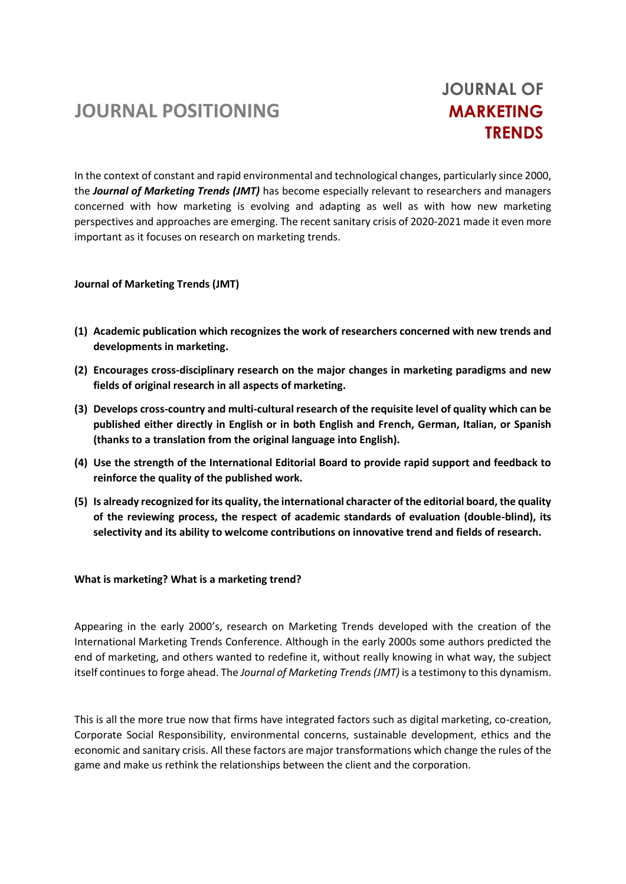# **JOURNAL POSITIONING**

# **JOURNAL OF MARKETING TRENDS**

In the context of constant and rapid environmental and technological changes, particularly since 2000, the *Journal of Marketing Trends (JMT)* has become especially relevant to researchers and managers concerned with how marketing is evolving and adapting as well as with how new marketing perspectives and approaches are emerging. The recent sanitary crisis of 2020-2021 made it even more important as it focuses on research on marketing trends.

## **Journal of Marketing Trends (JMT)**

- **(1) Academic publication which recognizes the work of researchers concerned with new trends and developments in marketing.**
- **(2) Encourages cross-disciplinary research on the major changes in marketing paradigms and new fields of original research in all aspects of marketing.**
- **(3) Develops cross-country and multi-cultural research of the requisite level of quality which can be published either directly in English or in both English and French, German, Italian, or Spanish (thanks to a translation from the original language into English).**
- **(4) Use the strength of the International Editorial Board to provide rapid support and feedback to reinforce the quality of the published work.**
- **(5) Is already recognized for its quality, the international character of the editorial board, the quality of the reviewing process, the respect of academic standards of evaluation (double-blind), its selectivity and its ability to welcome contributions on innovative trend and fields of research.**

#### **What is marketing? What is a marketing trend?**

Appearing in the early 2000's, research on Marketing Trends developed with the creation of the International Marketing Trends Conference. Although in the early 2000s some authors predicted the end of marketing, and others wanted to redefine it, without really knowing in what way, the subject itself continues to forge ahead. The *Journal of Marketing Trends (JMT)* is a testimony to this dynamism.

This is all the more true now that firms have integrated factors such as digital marketing, co-creation, Corporate Social Responsibility, environmental concerns, sustainable development, ethics and the economic and sanitary crisis. All these factors are major transformations which change the rules of the game and make us rethink the relationships between the client and the corporation.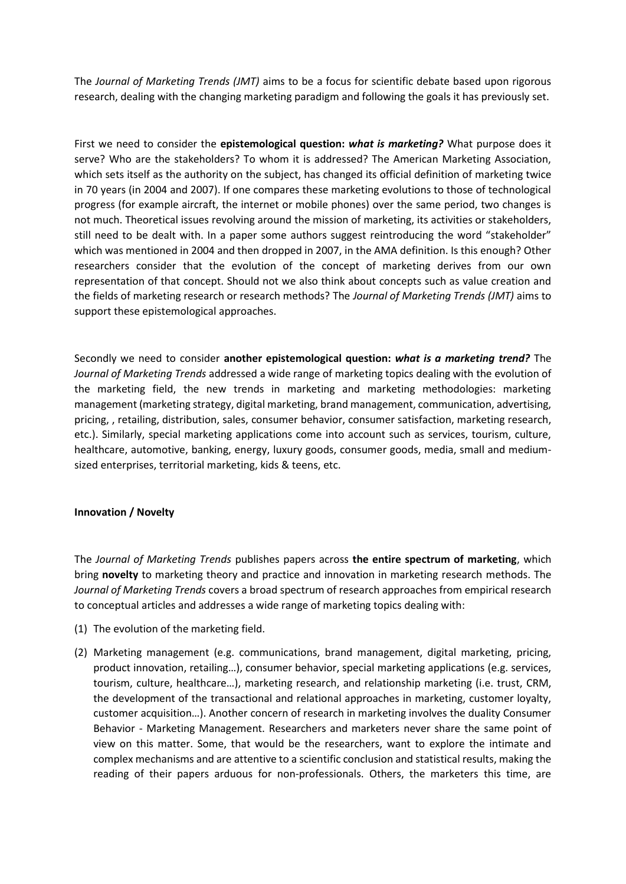The *Journal of Marketing Trends (JMT)* aims to be a focus for scientific debate based upon rigorous research, dealing with the changing marketing paradigm and following the goals it has previously set.

First we need to consider the **epistemological question:** *what is marketing?* What purpose does it serve? Who are the stakeholders? To whom it is addressed? The American Marketing Association, which sets itself as the authority on the subject, has changed its official definition of marketing twice in 70 years (in 2004 and 2007). If one compares these marketing evolutions to those of technological progress (for example aircraft, the internet or mobile phones) over the same period, two changes is not much. Theoretical issues revolving around the mission of marketing, its activities or stakeholders, still need to be dealt with. In a paper some authors suggest reintroducing the word "stakeholder" which was mentioned in 2004 and then dropped in 2007, in the AMA definition. Is this enough? Other researchers consider that the evolution of the concept of marketing derives from our own representation of that concept. Should not we also think about concepts such as value creation and the fields of marketing research or research methods? The *Journal of Marketing Trends (JMT)* aims to support these epistemological approaches.

Secondly we need to consider **another epistemological question:** *what is a marketing trend?* The *Journal of Marketing Trends* addressed a wide range of marketing topics dealing with the evolution of the marketing field, the new trends in marketing and marketing methodologies: marketing management (marketing strategy, digital marketing, brand management, communication, advertising, pricing, , retailing, distribution, sales, consumer behavior, consumer satisfaction, marketing research, etc.). Similarly, special marketing applications come into account such as services, tourism, culture, healthcare, automotive, banking, energy, luxury goods, consumer goods, media, small and mediumsized enterprises, territorial marketing, kids & teens, etc.

#### **Innovation / Novelty**

The *Journal of Marketing Trends* publishes papers across **the entire spectrum of marketing**, which bring **novelty** to marketing theory and practice and innovation in marketing research methods. The *Journal of Marketing Trends* covers a broad spectrum of research approaches from empirical research to conceptual articles and addresses a wide range of marketing topics dealing with:

- (1) The evolution of the marketing field.
- (2) Marketing management (e.g. communications, brand management, digital marketing, pricing, product innovation, retailing…), consumer behavior, special marketing applications (e.g. services, tourism, culture, healthcare…), marketing research, and relationship marketing (i.e. trust, CRM, the development of the transactional and relational approaches in marketing, customer loyalty, customer acquisition…). Another concern of research in marketing involves the duality Consumer Behavior - Marketing Management. Researchers and marketers never share the same point of view on this matter. Some, that would be the researchers, want to explore the intimate and complex mechanisms and are attentive to a scientific conclusion and statistical results, making the reading of their papers arduous for non-professionals. Others, the marketers this time, are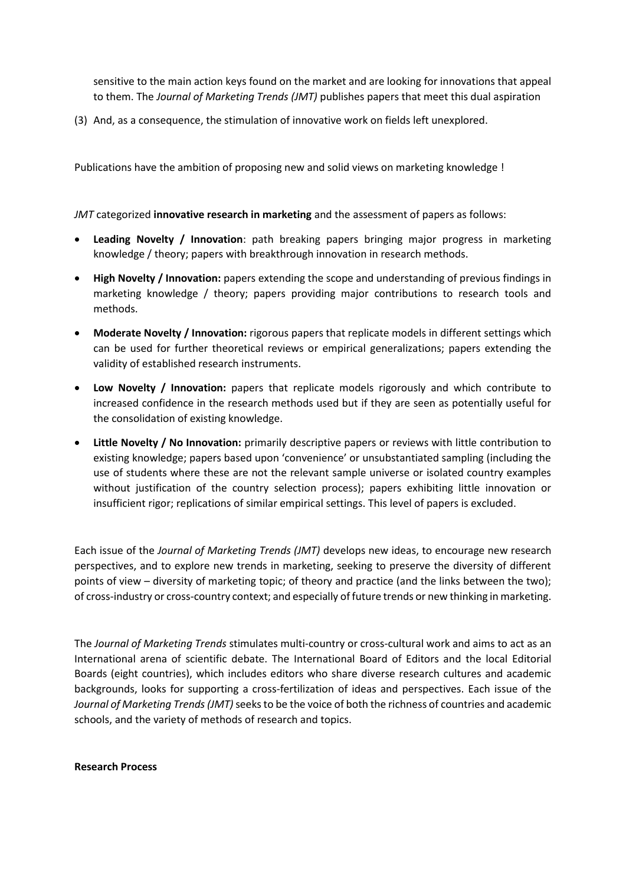sensitive to the main action keys found on the market and are looking for innovations that appeal to them. The *Journal of Marketing Trends (JMT)* publishes papers that meet this dual aspiration

(3) And, as a consequence, the stimulation of innovative work on fields left unexplored.

Publications have the ambition of proposing new and solid views on marketing knowledge !

*JMT* categorized **innovative research in marketing** and the assessment of papers as follows:

- **Leading Novelty / Innovation**: path breaking papers bringing major progress in marketing knowledge / theory; papers with breakthrough innovation in research methods.
- **High Novelty / Innovation:** papers extending the scope and understanding of previous findings in marketing knowledge / theory; papers providing major contributions to research tools and methods.
- **Moderate Novelty / Innovation:** rigorous papers that replicate models in different settings which can be used for further theoretical reviews or empirical generalizations; papers extending the validity of established research instruments.
- **Low Novelty / Innovation:** papers that replicate models rigorously and which contribute to increased confidence in the research methods used but if they are seen as potentially useful for the consolidation of existing knowledge.
- **Little Novelty / No Innovation:** primarily descriptive papers or reviews with little contribution to existing knowledge; papers based upon 'convenience' or unsubstantiated sampling (including the use of students where these are not the relevant sample universe or isolated country examples without justification of the country selection process); papers exhibiting little innovation or insufficient rigor; replications of similar empirical settings. This level of papers is excluded.

Each issue of the *Journal of Marketing Trends (JMT)* develops new ideas, to encourage new research perspectives, and to explore new trends in marketing, seeking to preserve the diversity of different points of view – diversity of marketing topic; of theory and practice (and the links between the two); of cross-industry or cross-country context; and especially of future trends or new thinking in marketing.

The *Journal of Marketing Trends* stimulates multi-country or cross-cultural work and aims to act as an International arena of scientific debate. The International Board of Editors and the local Editorial Boards (eight countries), which includes editors who share diverse research cultures and academic backgrounds, looks for supporting a cross-fertilization of ideas and perspectives. Each issue of the *Journal of Marketing Trends (JMT)* seeks to be the voice of both the richness of countries and academic schools, and the variety of methods of research and topics.

#### **Research Process**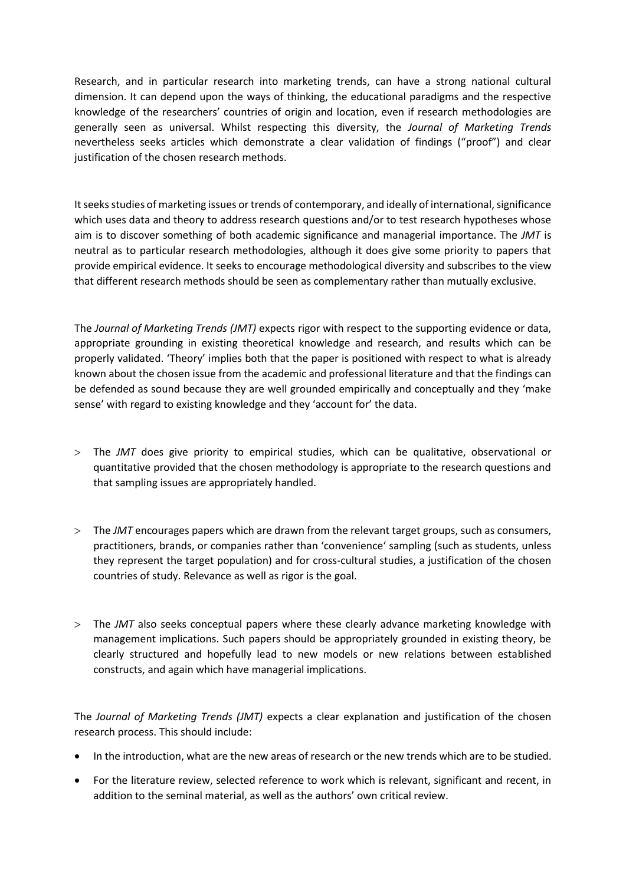Research, and in particular research into marketing trends, can have a strong national cultural dimension. It can depend upon the ways of thinking, the educational paradigms and the respective knowledge of the researchers' countries of origin and location, even if research methodologies are generally seen as universal. Whilst respecting this diversity, the *Journal of Marketing Trends* nevertheless seeks articles which demonstrate a clear validation of findings ("proof") and clear justification of the chosen research methods.

It seeks studies of marketing issues or trends of contemporary, and ideally of international, significance which uses data and theory to address research questions and/or to test research hypotheses whose aim is to discover something of both academic significance and managerial importance. The *JMT* is neutral as to particular research methodologies, although it does give some priority to papers that provide empirical evidence. It seeks to encourage methodological diversity and subscribes to the view that different research methods should be seen as complementary rather than mutually exclusive.

The *Journal of Marketing Trends (JMT)* expects rigor with respect to the supporting evidence or data, appropriate grounding in existing theoretical knowledge and research, and results which can be properly validated. 'Theory' implies both that the paper is positioned with respect to what is already known about the chosen issue from the academic and professional literature and that the findings can be defended as sound because they are well grounded empirically and conceptually and they 'make sense' with regard to existing knowledge and they 'account for' the data.

- The *JMT* does give priority to empirical studies, which can be qualitative, observational or quantitative provided that the chosen methodology is appropriate to the research questions and that sampling issues are appropriately handled.
- The *JMT* encourages papers which are drawn from the relevant target groups, such as consumers, practitioners, brands, or companies rather than 'convenience' sampling (such as students, unless they represent the target population) and for cross-cultural studies, a justification of the chosen countries of study. Relevance as well as rigor is the goal.
- The *JMT* also seeks conceptual papers where these clearly advance marketing knowledge with management implications. Such papers should be appropriately grounded in existing theory, be clearly structured and hopefully lead to new models or new relations between established constructs, and again which have managerial implications.

The *Journal of Marketing Trends (JMT)* expects a clear explanation and justification of the chosen research process. This should include:

- In the introduction, what are the new areas of research or the new trends which are to be studied.
- For the literature review, selected reference to work which is relevant, significant and recent, in addition to the seminal material, as well as the authors' own critical review.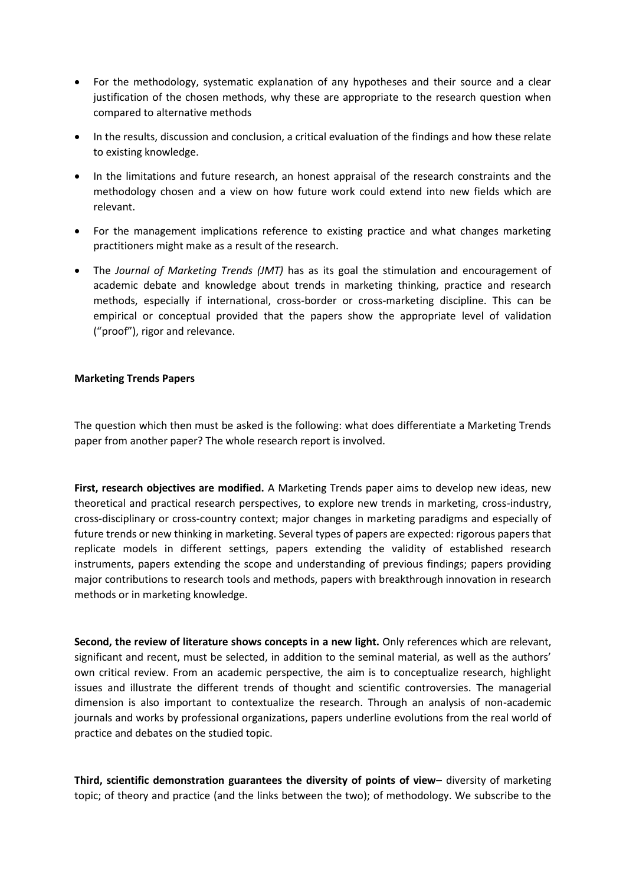- For the methodology, systematic explanation of any hypotheses and their source and a clear justification of the chosen methods, why these are appropriate to the research question when compared to alternative methods
- In the results, discussion and conclusion, a critical evaluation of the findings and how these relate to existing knowledge.
- In the limitations and future research, an honest appraisal of the research constraints and the methodology chosen and a view on how future work could extend into new fields which are relevant.
- For the management implications reference to existing practice and what changes marketing practitioners might make as a result of the research.
- The *Journal of Marketing Trends (JMT)* has as its goal the stimulation and encouragement of academic debate and knowledge about trends in marketing thinking, practice and research methods, especially if international, cross-border or cross-marketing discipline. This can be empirical or conceptual provided that the papers show the appropriate level of validation ("proof"), rigor and relevance.

## **Marketing Trends Papers**

The question which then must be asked is the following: what does differentiate a Marketing Trends paper from another paper? The whole research report is involved.

**First, research objectives are modified.** A Marketing Trends paper aims to develop new ideas, new theoretical and practical research perspectives, to explore new trends in marketing, cross-industry, cross-disciplinary or cross-country context; major changes in marketing paradigms and especially of future trends or new thinking in marketing. Several types of papers are expected: rigorous papers that replicate models in different settings, papers extending the validity of established research instruments, papers extending the scope and understanding of previous findings; papers providing major contributions to research tools and methods, papers with breakthrough innovation in research methods or in marketing knowledge.

**Second, the review of literature shows concepts in a new light.** Only references which are relevant, significant and recent, must be selected, in addition to the seminal material, as well as the authors' own critical review. From an academic perspective, the aim is to conceptualize research, highlight issues and illustrate the different trends of thought and scientific controversies. The managerial dimension is also important to contextualize the research. Through an analysis of non-academic journals and works by professional organizations, papers underline evolutions from the real world of practice and debates on the studied topic.

**Third, scientific demonstration guarantees the diversity of points of view**– diversity of marketing topic; of theory and practice (and the links between the two); of methodology. We subscribe to the